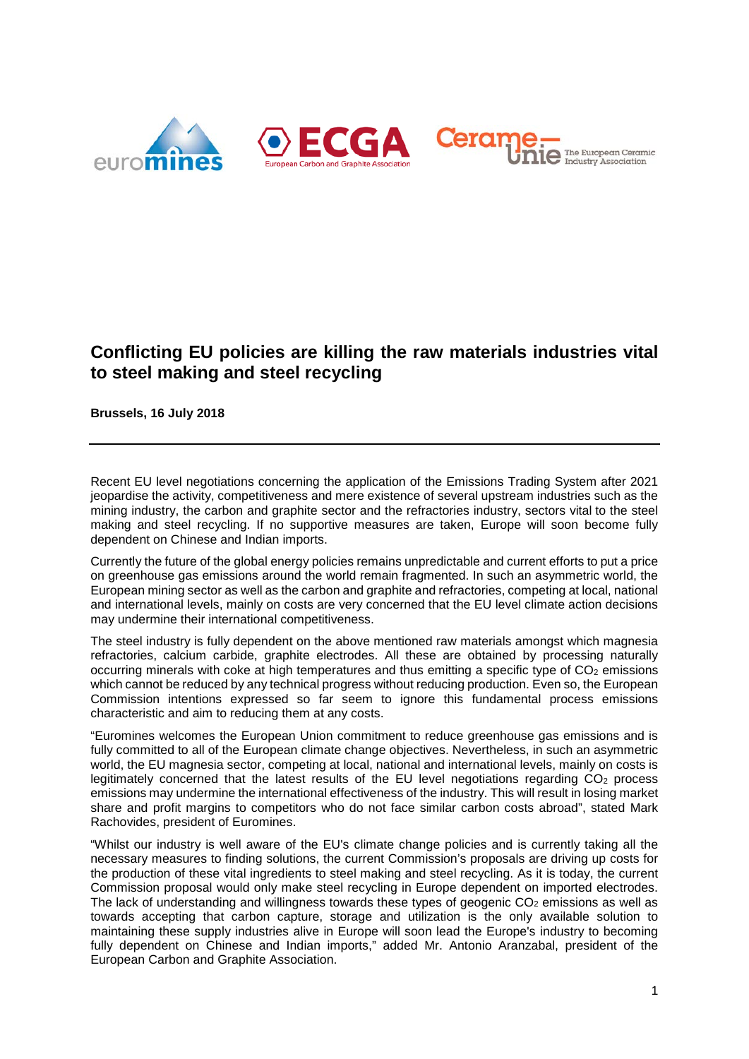





## **Conflicting EU policies are killing the raw materials industries vital to steel making and steel recycling**

**Brussels, 16 July 2018**

Recent EU level negotiations concerning the application of the Emissions Trading System after 2021 jeopardise the activity, competitiveness and mere existence of several upstream industries such as the mining industry, the carbon and graphite sector and the refractories industry, sectors vital to the steel making and steel recycling. If no supportive measures are taken, Europe will soon become fully dependent on Chinese and Indian imports.

Currently the future of the global energy policies remains unpredictable and current efforts to put a price on greenhouse gas emissions around the world remain fragmented. In such an asymmetric world, the European mining sector as well as the carbon and graphite and refractories, competing at local, national and international levels, mainly on costs are very concerned that the EU level climate action decisions may undermine their international competitiveness.

The steel industry is fully dependent on the above mentioned raw materials amongst which magnesia refractories, calcium carbide, graphite electrodes. All these are obtained by processing naturally occurring minerals with coke at high temperatures and thus emitting a specific type of CO<sub>2</sub> emissions which cannot be reduced by any technical progress without reducing production. Even so, the European Commission intentions expressed so far seem to ignore this fundamental process emissions characteristic and aim to reducing them at any costs.

"Euromines welcomes the European Union commitment to reduce greenhouse gas emissions and is fully committed to all of the European climate change objectives. Nevertheless, in such an asymmetric world, the EU magnesia sector, competing at local, national and international levels, mainly on costs is legitimately concerned that the latest results of the EU level negotiations regarding  $CO<sub>2</sub>$  process emissions may undermine the international effectiveness of the industry. This will result in losing market share and profit margins to competitors who do not face similar carbon costs abroad", stated Mark Rachovides, president of Euromines.

"Whilst our industry is well aware of the EU's climate change policies and is currently taking all the necessary measures to finding solutions, the current Commission's proposals are driving up costs for the production of these vital ingredients to steel making and steel recycling. As it is today, the current Commission proposal would only make steel recycling in Europe dependent on imported electrodes. The lack of understanding and willingness towards these types of geogenic  $CO<sub>2</sub>$  emissions as well as towards accepting that carbon capture, storage and utilization is the only available solution to maintaining these supply industries alive in Europe will soon lead the Europe's industry to becoming fully dependent on Chinese and Indian imports," added Mr. Antonio Aranzabal, president of the European Carbon and Graphite Association.